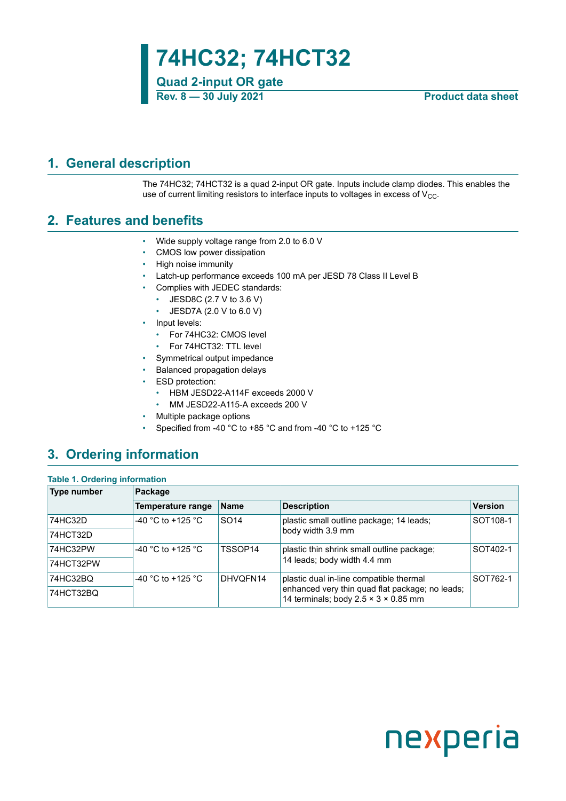**74HC32; 74HCT32**

**Quad 2-input OR gate Rev. 8 — 30 July 2021 Product data sheet**

### <span id="page-0-1"></span>**1. General description**

The 74HC32; 74HCT32 is a quad 2-input OR gate. Inputs include clamp diodes. This enables the use of current limiting resistors to interface inputs to voltages in excess of  $V_{CC}$ .

### <span id="page-0-0"></span>**2. Features and benefits**

- Wide supply voltage range from 2.0 to 6.0 V
- CMOS low power dissipation
- High noise immunity
- Latch-up performance exceeds 100 mA per JESD 78 Class II Level B
- Complies with JEDEC standards:
	- JESD8C (2.7 V to 3.6 V)
	- JESD7A (2.0 V to 6.0 V)
- Input levels:
	- For 74HC32: CMOS level
	- For 74HCT32: TTL level
- Symmetrical output impedance
- Balanced propagation delays
- ESD protection:
	- HBM JESD22-A114F exceeds 2000 V
	- MM JESD22-A115-A exceeds 200 V
- Multiple package options
- Specified from -40 °C to +85 °C and from -40 °C to +125 °C

### <span id="page-0-2"></span>**3. Ordering information**

#### **Table 1. Ordering information**

| Type number | Package                  |                     |                                                                                                     |                |  |  |  |
|-------------|--------------------------|---------------------|-----------------------------------------------------------------------------------------------------|----------------|--|--|--|
|             | <b>Temperature range</b> | <b>Name</b>         | <b>Description</b>                                                                                  | <b>Version</b> |  |  |  |
| 74HC32D     | -40 °C to +125 °C        | SO <sub>14</sub>    | plastic small outline package; 14 leads;                                                            | SOT108-1       |  |  |  |
| 74HCT32D    |                          |                     | body width 3.9 mm                                                                                   |                |  |  |  |
| 74HC32PW    | -40 °C to +125 °C        | TSSOP <sub>14</sub> | plastic thin shrink small outline package;                                                          | SOT402-1       |  |  |  |
| 74HCT32PW   |                          |                     | 14 leads; body width 4.4 mm                                                                         |                |  |  |  |
| 74HC32BQ    | -40 °C to +125 °C        | DHVQFN14            | plastic dual in-line compatible thermal                                                             | SOT762-1       |  |  |  |
| 74HCT32BQ   |                          |                     | enhanced very thin quad flat package; no leads;<br>14 terminals; body $2.5 \times 3 \times 0.85$ mm |                |  |  |  |

# nexperia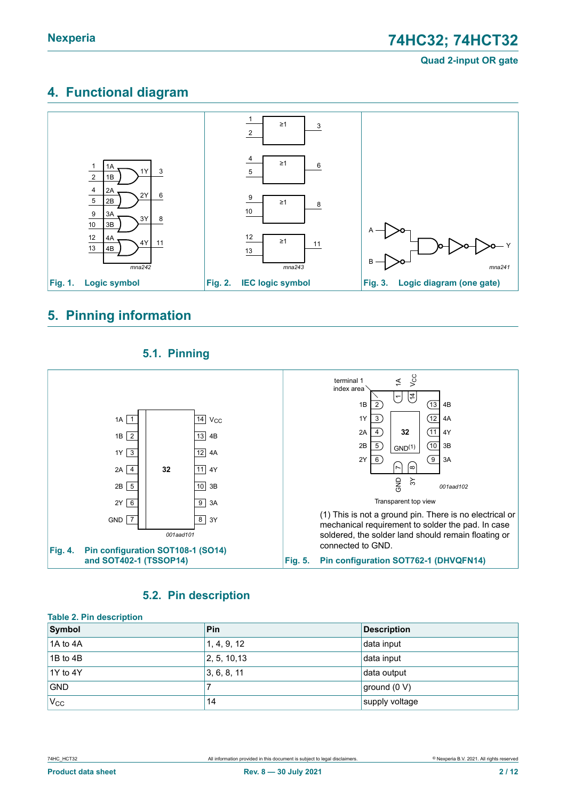### <span id="page-1-0"></span>**4. Functional diagram**



# <span id="page-1-1"></span>**5. Pinning information**



### <span id="page-1-2"></span>**5.1. Pinning**

### <span id="page-1-3"></span>**5.2. Pin description**

| <b>Table 2. Pin description</b> |                            |                      |  |  |  |  |
|---------------------------------|----------------------------|----------------------|--|--|--|--|
| Symbol                          | <b>Pin</b>                 | <b>Description</b>   |  |  |  |  |
| 1A to 4A                        | 1, 4, 9, 12                | data input           |  |  |  |  |
| $ 1B $ to $4B$                  | $\vert 2, 5, 10, 13 \vert$ | data input           |  |  |  |  |
| $1Y$ to 4Y                      | 3, 6, 8, 11                | data output          |  |  |  |  |
| <b>GND</b>                      |                            | $\vert$ ground (0 V) |  |  |  |  |
| $V_{\rm CC}$                    | 14                         | supply voltage       |  |  |  |  |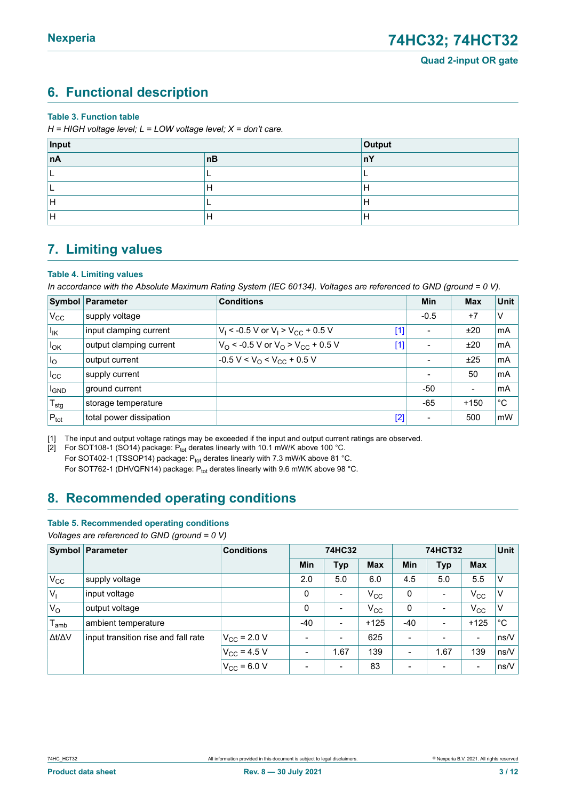### <span id="page-2-2"></span><span id="page-2-0"></span>**6. Functional description**

#### **Table 3. Function table**

*H = HIGH voltage level; L = LOW voltage level; X = don't care.*

| Input | Output |    |
|-------|--------|----|
| nA    | nB     | nY |
|       |        | -  |
| --    | Ħ      | H  |
| Н     |        | Н  |
| Ħ     | Ħ      | H  |

### <span id="page-2-3"></span>**7. Limiting values**

#### <span id="page-2-1"></span>**Table 4. Limiting values**

In accordance with the Absolute Maximum Rating System (IEC 60134). Voltages are referenced to GND (ground = 0 V).

|                              | <b>Symbol Parameter</b> | <b>Conditions</b>                                                        | Min                      | <b>Max</b>                   | Unit        |
|------------------------------|-------------------------|--------------------------------------------------------------------------|--------------------------|------------------------------|-------------|
| $V_{CC}$                     | supply voltage          |                                                                          | $-0.5$                   | $+7$                         | ν           |
| $\vert I_{\mathsf{IK}}\vert$ | input clamping current  | $V_1$ < -0.5 V or $V_1$ > $V_{CC}$ + 0.5 V<br>$[1]$                      | $\overline{\phantom{a}}$ | ±20                          | <b>mA</b>   |
| $I_{OK}$                     | output clamping current | $V_{\Omega}$ < -0.5 V or $V_{\Omega}$ > $V_{\text{CC}}$ + 0.5 V<br>$[1]$ | $\overline{\phantom{a}}$ | ±20                          | <b>mA</b>   |
| $\mathsf{I}_\mathsf{O}$      | output current          | $-0.5 V < VO < VCC + 0.5 V$                                              | $\overline{\phantom{0}}$ | ±25                          | mA          |
| $I_{\rm CC}$                 | supply current          |                                                                          | $\overline{\phantom{a}}$ | 50                           | mA          |
| <b>I<sub>GND</sub></b>       | ground current          |                                                                          | -50                      | $\qquad \qquad \blacksquare$ | mA          |
| $T_{\text{stg}}$             | storage temperature     |                                                                          | $-65$                    | $+150$                       | $^{\circ}C$ |
| $P_{\text{tot}}$             | total power dissipation | $[2]$                                                                    | $\overline{\phantom{a}}$ | 500                          | mW          |

[1] The input and output voltage ratings may be exceeded if the input and output current ratings are observed.

[2] For SOT108-1 (SO14) package: Ptot derates linearly with 10.1 mW/K above 100 °C.

For SOT402-1 (TSSOP14) package: P<sub>tot</sub> derates linearly with 7.3 mW/K above 81 °C.

For SOT762-1 (DHVQFN14) package:  $P_{tot}$  derates linearly with 9.6 mW/K above 98 °C.

### <span id="page-2-4"></span>**8. Recommended operating conditions**

#### **Table 5. Recommended operating conditions**

*Voltages are referenced to GND (ground = 0 V)*

|                             | Symbol Parameter                    | <b>Conditions</b>       |                          | <b>74HC32</b>            |              |                          | <b>74HCT32</b>           |                          | Unit        |
|-----------------------------|-------------------------------------|-------------------------|--------------------------|--------------------------|--------------|--------------------------|--------------------------|--------------------------|-------------|
|                             |                                     |                         | <b>Min</b>               | <b>Typ</b>               | <b>Max</b>   | Min                      | <b>Typ</b>               | <b>Max</b>               |             |
| $V_{CC}$                    | supply voltage                      |                         | 2.0                      | 5.0                      | 6.0          | 4.5                      | 5.0                      | 5.5                      | v           |
| $V_{1}$                     | input voltage                       |                         | 0                        | $\blacksquare$           | $V_{\rm CC}$ | 0                        | $\overline{\phantom{a}}$ | $V_{\rm CC}$             | V           |
| $V_{\rm O}$                 | output voltage                      |                         | 0                        | $\overline{\phantom{a}}$ | $V_{\rm CC}$ | 0                        |                          | $V_{\rm CC}$             | V           |
| $\mathsf{T}_{\mathsf{amb}}$ | ambient temperature                 |                         | $-40$                    | $\overline{\phantom{a}}$ | $+125$       | $-40$                    |                          | $+125$                   | $^{\circ}C$ |
| $\Delta t/\Delta V$         | input transition rise and fall rate | $V_{\text{CC}}$ = 2.0 V | $\overline{\phantom{0}}$ | $\blacksquare$           | 625          | $\overline{\phantom{a}}$ |                          | $\overline{\phantom{a}}$ | ns/V        |
|                             |                                     | $V_{CC}$ = 4.5 V        | $\overline{\phantom{a}}$ | 1.67                     | 139          | $\overline{\phantom{a}}$ | 1.67                     | 139                      | ns/V        |
|                             |                                     | $V_{CC}$ = 6.0 V        | $\overline{\phantom{a}}$ | $\blacksquare$           | 83           | $\overline{\phantom{a}}$ |                          | $\overline{\phantom{a}}$ | ns/V        |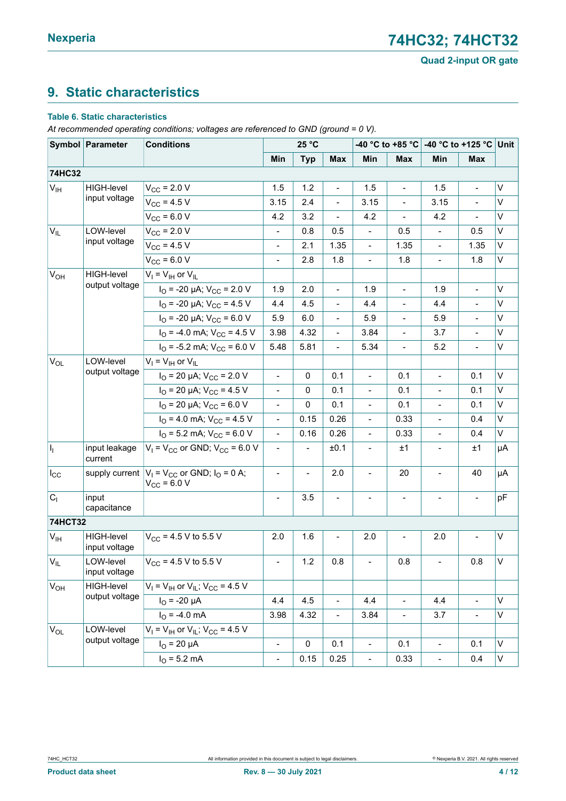# <span id="page-3-0"></span>**9. Static characteristics**

### **Table 6. Static characteristics**

*At recommended operating conditions; voltages are referenced to GND (ground = 0 V).*

|                       | Symbol Parameter                   | <b>Conditions</b>                                                       |                              | 25 °C          |                          |                          |                              | -40 °C to +85 °C $\vert$ -40 °C to +125 °C Unit |                              |         |
|-----------------------|------------------------------------|-------------------------------------------------------------------------|------------------------------|----------------|--------------------------|--------------------------|------------------------------|-------------------------------------------------|------------------------------|---------|
|                       |                                    |                                                                         | Min                          | <b>Typ</b>     | <b>Max</b>               | Min                      | <b>Max</b>                   | Min                                             | <b>Max</b>                   |         |
| <b>74HC32</b>         |                                    |                                                                         |                              |                |                          |                          |                              |                                                 |                              |         |
| $V_{\text{IH}}$       | <b>HIGH-level</b>                  | $V_{CC}$ = 2.0 V                                                        | 1.5                          | 1.2            | $\overline{\phantom{0}}$ | 1.5                      | $\overline{a}$               | 1.5                                             | $\overline{a}$               | V       |
|                       | input voltage                      | $V_{CC}$ = 4.5 V                                                        | 3.15                         | 2.4            | $\overline{\phantom{0}}$ | 3.15                     | $\blacksquare$               | 3.15                                            | $\frac{1}{2}$                | V       |
|                       |                                    | $V_{CC} = 6.0 V$                                                        | 4.2                          | 3.2            | $\overline{\phantom{0}}$ | 4.2                      | $\overline{\phantom{0}}$     | 4.2                                             | $\overline{a}$               | V       |
| $V_{IL}$              | LOW-level                          | $V_{CC}$ = 2.0 V                                                        | $\blacksquare$               | 0.8            | 0.5                      | $\blacksquare$           | 0.5                          | $\overline{\phantom{a}}$                        | 0.5                          | V       |
|                       | input voltage                      | $V_{CC}$ = 4.5 V                                                        | $\overline{a}$               | 2.1            | 1.35                     | $\blacksquare$           | 1.35                         | $\blacksquare$                                  | 1.35                         | V       |
|                       |                                    | $V_{CC}$ = 6.0 V                                                        | $\qquad \qquad \blacksquare$ | 2.8            | 1.8                      | $\overline{\phantom{a}}$ | 1.8                          | $\overline{\phantom{a}}$                        | 1.8                          | V       |
| <b>V<sub>OH</sub></b> | <b>HIGH-level</b>                  | $V_I = V_{IH}$ or $V_{IL}$                                              |                              |                |                          |                          |                              |                                                 |                              |         |
|                       | output voltage                     | $I_{\text{O}}$ = -20 µA; $V_{\text{CC}}$ = 2.0 V                        | 1.9                          | 2.0            | $\blacksquare$           | 1.9                      | $\blacksquare$               | 1.9                                             | $\overline{\phantom{a}}$     | V       |
|                       |                                    | $I_{\text{O}}$ = -20 µA; $V_{\text{CC}}$ = 4.5 V                        | 4.4                          | 4.5            | $\overline{\phantom{0}}$ | 4.4                      |                              | 4.4                                             | $\qquad \qquad \blacksquare$ | V       |
|                       |                                    | $I_{\text{O}}$ = -20 µA; $V_{\text{CC}}$ = 6.0 V                        | 5.9                          | 6.0            | $\overline{\phantom{0}}$ | 5.9                      | $\qquad \qquad \blacksquare$ | 5.9                                             | $\qquad \qquad \blacksquare$ | V       |
|                       |                                    | $IO$ = -4.0 mA; $VCC$ = 4.5 V                                           | 3.98                         | 4.32           | $\overline{\phantom{0}}$ | 3.84                     | -                            | 3.7                                             | $\qquad \qquad \blacksquare$ | V       |
|                       |                                    | $IO$ = -5.2 mA; $VCC$ = 6.0 V                                           | 5.48                         | 5.81           | $\blacksquare$           | 5.34                     | $\blacksquare$               | 5.2                                             | $\blacksquare$               | V       |
| $V_{OL}$              | LOW-level                          | $V_I = V_{IH}$ or $V_{IL}$                                              |                              |                |                          |                          |                              |                                                 |                              |         |
|                       | output voltage                     | $I_{\text{O}}$ = 20 µA; $V_{\text{CC}}$ = 2.0 V                         | $\overline{a}$               | $\mathbf 0$    | 0.1                      | $\blacksquare$           | 0.1                          | $\mathbf{r}$                                    | 0.1                          | $\vee$  |
|                       |                                    | $I_{\text{O}}$ = 20 µA; $V_{\text{CC}}$ = 4.5 V                         | $\qquad \qquad \blacksquare$ | 0              | 0.1                      | $\overline{\phantom{a}}$ | 0.1                          | $\overline{\phantom{a}}$                        | 0.1                          | V       |
|                       |                                    | $I_{\text{O}}$ = 20 µA; $V_{\text{CC}}$ = 6.0 V                         | $\qquad \qquad \blacksquare$ | $\mathbf 0$    | 0.1                      | $\blacksquare$           | 0.1                          | $\blacksquare$                                  | 0.1                          | V       |
|                       |                                    | $IO$ = 4.0 mA; $VCC$ = 4.5 V                                            | $\frac{1}{2}$                | 0.15           | 0.26                     | $\blacksquare$           | 0.33                         | $\blacksquare$                                  | 0.4                          | V       |
|                       |                                    | $IO$ = 5.2 mA; $VCC$ = 6.0 V                                            | $\frac{1}{2}$                | 0.16           | 0.26                     | $\overline{a}$           | 0.33                         | $\blacksquare$                                  | 0.4                          | V       |
| $\vert I_1 \vert$     | input leakage<br>current           | $V_1$ = $V_{CC}$ or GND; $V_{CC}$ = 6.0 V                               | $\frac{1}{2}$                |                | ±0.1                     | $\blacksquare$           | ±1                           | $\overline{\phantom{a}}$                        | ±1                           | μA      |
| $I_{\rm CC}$          |                                    | supply current $ V_1 = V_{CC}$ or GND; $I_0 = 0$ A;<br>$V_{CC}$ = 6.0 V | $\overline{a}$               | $\blacksquare$ | 2.0                      | $\overline{\phantom{a}}$ | 20                           | $\overline{\phantom{a}}$                        | 40                           | μA      |
| C <sub>1</sub>        | input<br>capacitance               |                                                                         |                              | 3.5            | $\overline{\phantom{0}}$ |                          |                              |                                                 |                              | pF      |
| <b>74HCT32</b>        |                                    |                                                                         |                              |                |                          |                          |                              |                                                 |                              |         |
| V <sub>IH</sub>       | <b>HIGH-level</b><br>input voltage | $V_{CC}$ = 4.5 V to 5.5 V                                               | 2.0                          | 1.6            | $\overline{\phantom{0}}$ | 2.0                      | $\overline{\phantom{0}}$     | 2.0                                             |                              | $\sf V$ |
| $\bar{V}_{IL}$        | LOW-level<br>input voltage         | $V_{CC}$ = 4.5 V to 5.5 V                                               | -                            | 1.2            | 0.8                      | $\blacksquare$           | 0.8                          | $\overline{\phantom{a}}$                        | 0.8                          | V       |
| V <sub>OH</sub>       | HIGH-level                         | $V_1 = V_{IH}$ or $V_{IL}$ ; $V_{CC} = 4.5$ V                           |                              |                |                          |                          |                              |                                                 |                              |         |
|                       | output voltage                     | $I_{\Omega}$ = -20 µA                                                   | 4.4                          | 4.5            | $\overline{\phantom{0}}$ | 4.4                      |                              | 4.4                                             | $\frac{1}{2}$                | V       |
|                       |                                    | $IO = -4.0 mA$                                                          | 3.98                         | 4.32           | $\blacksquare$           | 3.84                     | $\blacksquare$               | 3.7                                             | $\blacksquare$               | V       |
| $V_{OL}$              | LOW-level                          | $V_1 = V_{1H}$ or $V_{1L}$ ; $V_{CC} = 4.5$ V                           |                              |                |                          |                          |                              |                                                 |                              |         |
|                       | output voltage                     | $I_{O} = 20 \mu A$                                                      | $\overline{\phantom{0}}$     | $\pmb{0}$      | 0.1                      | $\blacksquare$           | 0.1                          | $\blacksquare$                                  | 0.1                          | V       |
|                       |                                    | $I_{\Omega}$ = 5.2 mA                                                   | $\overline{\phantom{a}}$     | 0.15           | 0.25                     | $\blacksquare$           | 0.33                         | $\overline{\phantom{a}}$                        | 0.4                          | V       |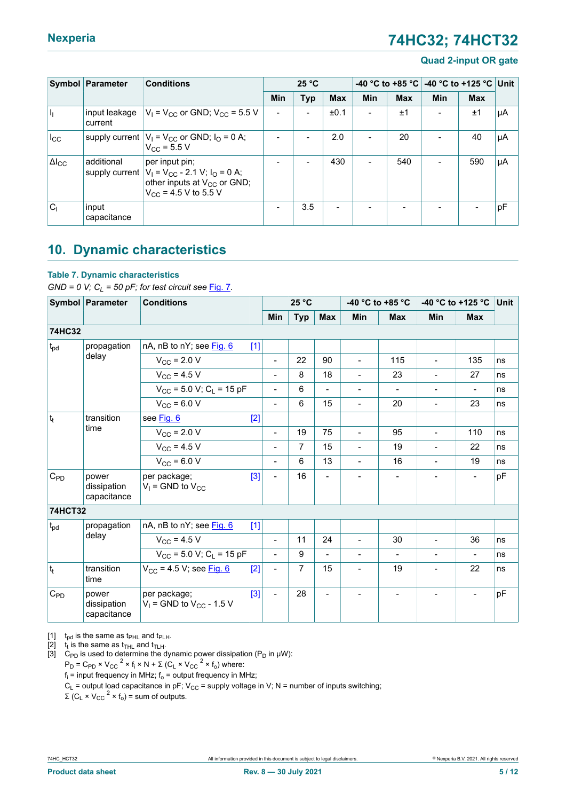# **Nexperia 74HC32; 74HCT32**

#### **Quad 2-input OR gate**

<span id="page-4-0"></span>

|                     | <b>Symbol Parameter</b>  | <b>Conditions</b>                                                                                                                                |                          | 25 °C                    |            |     |            | -40 °C to +85 °C $\mid$ -40 °C to +125 °C $\mid$ Unit |            |    |
|---------------------|--------------------------|--------------------------------------------------------------------------------------------------------------------------------------------------|--------------------------|--------------------------|------------|-----|------------|-------------------------------------------------------|------------|----|
|                     |                          |                                                                                                                                                  | Min                      | <b>Typ</b>               | <b>Max</b> | Min | <b>Max</b> | <b>Min</b>                                            | <b>Max</b> |    |
| h,                  | input leakage<br>current | $V_I$ = $V_{CC}$ or GND; $V_{CC}$ = 5.5 V                                                                                                        | $\overline{\phantom{a}}$ | $\overline{\phantom{a}}$ | ±0.1       |     | ±1         |                                                       | ±1         | μA |
| $I_{\rm CC}$        |                          | supply current $ V_1 = V_{CC}$ or GND; $I_0 = 0$ A;<br>$V_{\text{CC}}$ = 5.5 V                                                                   |                          |                          | 2.0        |     | 20         |                                                       | 40         | μA |
| $\Delta I_{\rm CC}$ | additional               | per input pin;<br>supply current $ V_1 = V_{CC} - 2.1 V$ ; $I_0 = 0 A$ ;<br>other inputs at V <sub>CC</sub> or GND;<br>$V_{CC}$ = 4.5 V to 5.5 V |                          |                          | 430        |     | 540        |                                                       | 590        | μA |
| $ C_1 $             | input<br>capacitance     |                                                                                                                                                  | $\overline{\phantom{a}}$ | 3.5                      |            |     |            |                                                       |            | pF |

### <span id="page-4-1"></span>**10. Dynamic characteristics**

#### **Table 7. Dynamic characteristics**

*GND = 0 V;*  $C_L$  = 50 pF; for test circuit see  $Fig. 7$ .

|                | Symbol Parameter<br><b>Conditions</b> |                                                          | 25 °C                        |                | -40 °C to +85 °C             |                          | -40 °C to +125 °C        |                              | Unit                     |    |
|----------------|---------------------------------------|----------------------------------------------------------|------------------------------|----------------|------------------------------|--------------------------|--------------------------|------------------------------|--------------------------|----|
|                |                                       |                                                          | <b>Min</b>                   | <b>Typ</b>     | <b>Max</b>                   | <b>Min</b>               | <b>Max</b>               | <b>Min</b>                   | <b>Max</b>               |    |
| 74HC32         |                                       |                                                          |                              |                |                              |                          |                          |                              |                          |    |
| $t_{\rm pd}$   | propagation                           | $[1]$<br>nA, nB to nY; see Fig. 6                        |                              |                |                              |                          |                          |                              |                          |    |
|                | delay                                 | $V_{CC}$ = 2.0 V                                         | $\qquad \qquad \blacksquare$ | 22             | 90                           | $\blacksquare$           | 115                      | $\blacksquare$               | 135                      | ns |
|                |                                       | $V_{CC}$ = 4.5 V                                         | $\qquad \qquad \blacksquare$ | 8              | 18                           | $\blacksquare$           | 23                       | $\overline{a}$               | 27                       | ns |
|                |                                       | $V_{CC}$ = 5.0 V; C <sub>L</sub> = 15 pF                 | $\overline{a}$               | 6              | $\qquad \qquad \blacksquare$ | $\overline{\phantom{a}}$ | $\overline{\phantom{a}}$ | $\qquad \qquad \blacksquare$ | $\blacksquare$           | ns |
|                |                                       | $V_{CC}$ = 6.0 V                                         | $\overline{\phantom{0}}$     | 6              | 15                           | $\blacksquare$           | 20                       | $\overline{a}$               | 23                       | ns |
| $ t_t $        | transition                            | $[2]$<br>see Fig. 6                                      |                              |                |                              |                          |                          |                              |                          |    |
|                | time                                  | $V_{\rm CC}$ = 2.0 V                                     | $\overline{\phantom{0}}$     | 19             | 75                           | $\blacksquare$           | 95                       | $\overline{a}$               | 110                      | ns |
|                |                                       | $V_{CC}$ = 4.5 V                                         | $\overline{a}$               | $\overline{7}$ | 15                           | $\blacksquare$           | 19                       | $\overline{a}$               | 22                       | ns |
|                |                                       | $V_{CC}$ = 6.0 V                                         | $\qquad \qquad \blacksquare$ | $6\phantom{1}$ | 13                           | $\overline{\phantom{a}}$ | 16                       | $\blacksquare$               | 19                       | ns |
| $C_{PD}$       | power<br>dissipation<br>capacitance   | $[3]$<br>per package;<br>$V_1$ = GND to $V_{CC}$         | $\overline{a}$               | 16             | $\overline{\phantom{a}}$     |                          |                          |                              |                          | pF |
| <b>74HCT32</b> |                                       |                                                          |                              |                |                              |                          |                          |                              |                          |    |
| $t_{\rm pd}$   | propagation                           | $[1]$<br>nA, nB to nY; see Fig. 6                        |                              |                |                              |                          |                          |                              |                          |    |
|                | delay                                 | $V_{CC}$ = 4.5 V                                         | $\overline{a}$               | 11             | 24                           | $\overline{\phantom{a}}$ | 30                       | $\overline{a}$               | 36                       | ns |
|                |                                       | $V_{CC}$ = 5.0 V; C <sub>L</sub> = 15 pF                 | $\overline{\phantom{0}}$     | 9              | $\overline{\phantom{a}}$     | $\blacksquare$           | $\blacksquare$           | $\overline{a}$               | $\blacksquare$           | ns |
| $ t_t $        | transition<br>time                    | [2]<br>$V_{CC}$ = 4.5 V; see Fig. 6                      | $\overline{\phantom{0}}$     | 7              | 15                           | $\blacksquare$           | 19                       | $\overline{a}$               | 22                       | ns |
| $C_{PD}$       | power<br>dissipation<br>capacitance   | $[3]$<br>per package;<br>$V_1$ = GND to $V_{CC}$ - 1.5 V | $\overline{\phantom{0}}$     | 28             | $\overline{\phantom{0}}$     |                          | $\overline{\phantom{a}}$ |                              | $\overline{\phantom{a}}$ | pF |

[1]  $t_{pd}$  is the same as  $t_{PHL}$  and  $t_{PLH}$ .

[2]  $t_t$  is the same as  $t_{\text{THL}}$  and  $t_{\text{TLH}}$ .

[3]  $\,$  C<sub>PD</sub> is used to determine the dynamic power dissipation (P<sub>D</sub> in μW):

 $P_D = C_{PD} \times V_{CC}^2 \times f_i \times N + Σ (C_L \times V_{CC}^2 \times f_o)$  where:

 $\mathsf{f}_\mathsf{i}$  = input frequency in MHz;  $\mathsf{f}_\mathsf{o}$  = output frequency in MHz;

 $C_L$  = output load capacitance in pF; V<sub>CC</sub> = supply voltage in V; N = number of inputs switching;

 $\Sigma$  (C<sub>L</sub> × V<sub>CC</sub><sup>2</sup> × f<sub>o</sub>) = sum of outputs.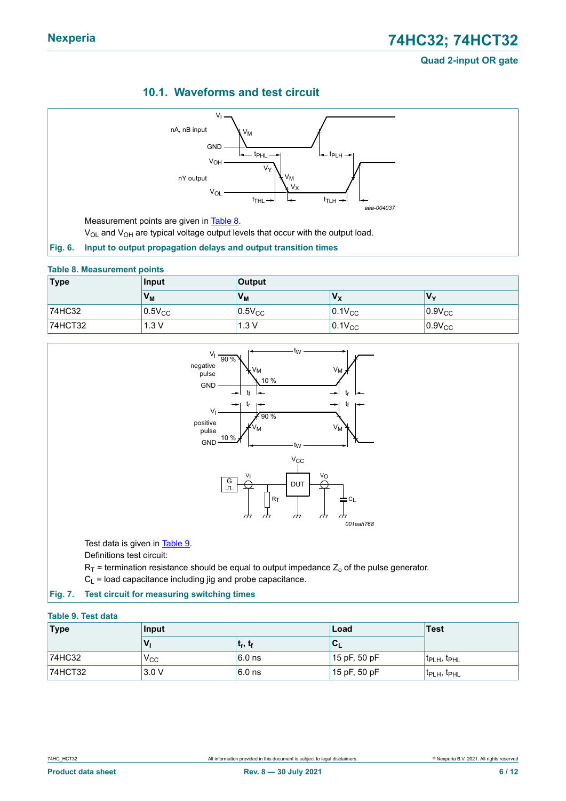### <span id="page-5-4"></span>**10.1. Waveforms and test circuit**

<span id="page-5-1"></span>

#### <span id="page-5-2"></span>**Fig. 6. Input to output propagation delays and output transition times**

#### **Table 8. Measurement points**

| Type    | Input       | Output      |             |                      |
|---------|-------------|-------------|-------------|----------------------|
|         | $V_{M}$     | $V_M$       | Vχ          | ۱V                   |
| 74HC32  | $0.5V_{CC}$ | $0.5V_{CC}$ | $0.1V_{CC}$ | $0.9V_{CC}$          |
| 74HCT32 | 1.3V        | 1.3V        | $0.1V_{CC}$ | $ 0.9$ V $_{\rm CC}$ |

<span id="page-5-0"></span>

Definitions test circuit:

 $R<sub>T</sub>$  = termination resistance should be equal to output impedance  $Z<sub>o</sub>$  of the pulse generator.

<span id="page-5-3"></span> $C_L$  = load capacitance including jig and probe capacitance.

### **Fig. 7. Test circuit for measuring switching times**

#### **Table 9. Test data Type Input Load**  $\overline{\mathbf{V}_{i}}$ **tr** ,  $t_f$  **C**<sub>L</sub> **Test** 74HC32 VCC 6.0 ns 15 pF, 50 pF tPLH, tPHL 74HCT32  $\vert 3.0 \text{ V} \vert$  6.0 ns  $\vert 15 \text{ pF}, 50 \text{ pF} \vert$  t<sub>PLH</sub>, t<sub>PHL</sub>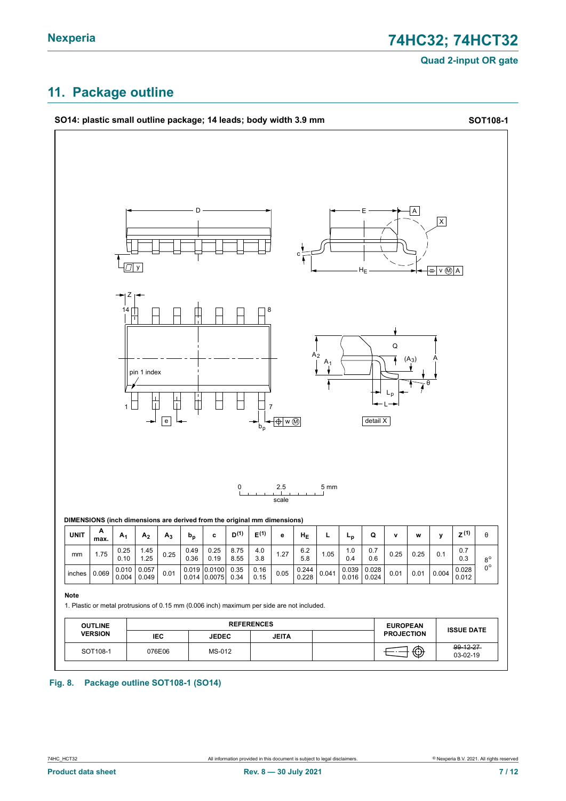### <span id="page-6-0"></span>**11. Package outline**



### **Fig. 8. Package outline SOT108-1 (SO14)**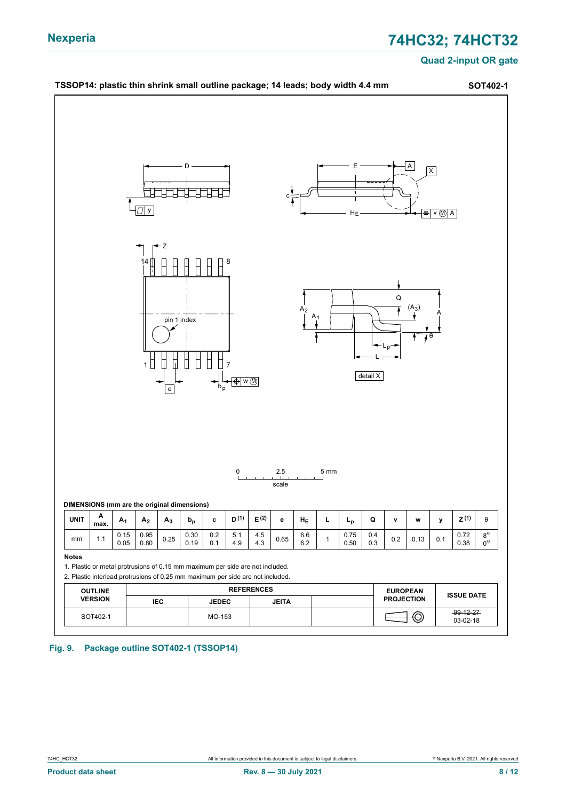### **Quad 2-input OR gate**



**Fig. 9. Package outline SOT402-1 (TSSOP14)**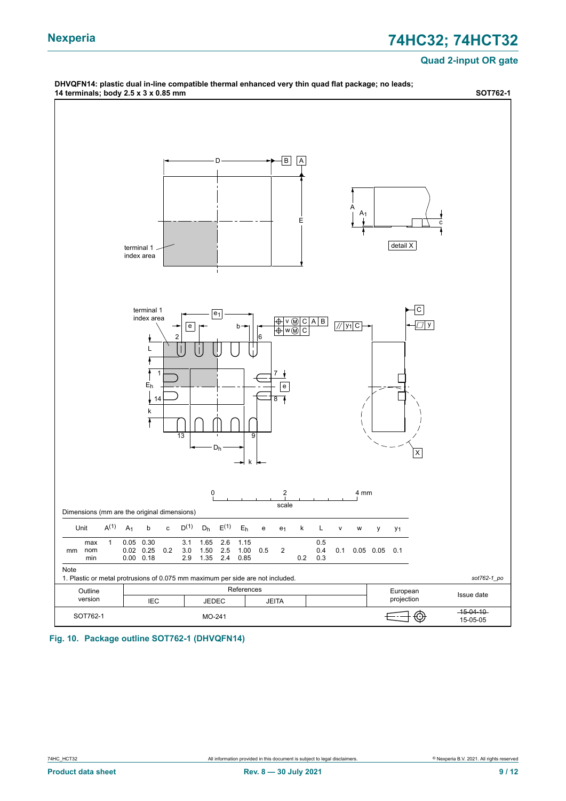# **Nexperia 74HC32; 74HCT32**

### **Quad 2-input OR gate**



**Fig. 10. Package outline SOT762-1 (DHVQFN14)**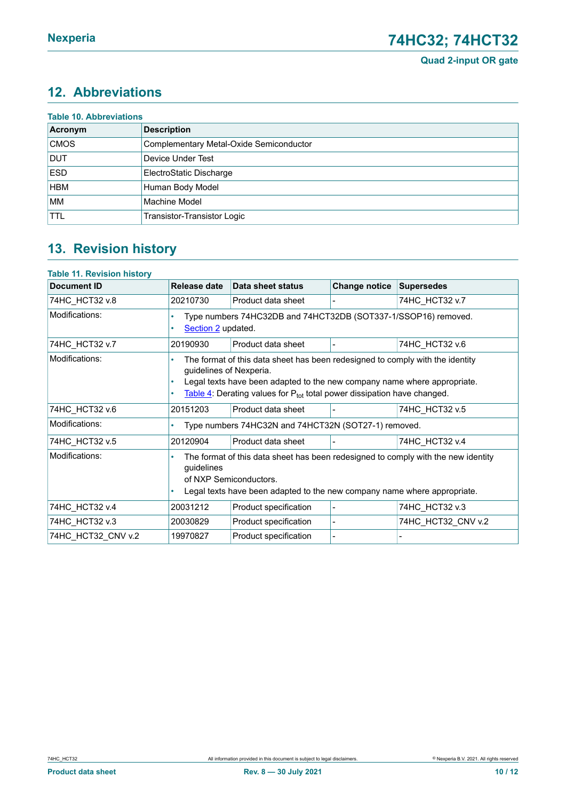# <span id="page-9-0"></span>**12. Abbreviations**

|             | <b>Table 10. Abbreviations</b>          |  |  |  |  |  |
|-------------|-----------------------------------------|--|--|--|--|--|
| Acronym     | <b>Description</b>                      |  |  |  |  |  |
| <b>CMOS</b> | Complementary Metal-Oxide Semiconductor |  |  |  |  |  |
| <b>DUT</b>  | Device Under Test                       |  |  |  |  |  |
| <b>ESD</b>  | ElectroStatic Discharge                 |  |  |  |  |  |
| <b>HBM</b>  | Human Body Model                        |  |  |  |  |  |
| <b>MM</b>   | Machine Model                           |  |  |  |  |  |
| <b>TTL</b>  | Transistor-Transistor Logic             |  |  |  |  |  |

# <span id="page-9-1"></span>**13. Revision history**

| <b>Table 11. Revision history</b> |                 |                                                                                                                                                                                                                                                                      |                      |                    |  |  |
|-----------------------------------|-----------------|----------------------------------------------------------------------------------------------------------------------------------------------------------------------------------------------------------------------------------------------------------------------|----------------------|--------------------|--|--|
| <b>Document ID</b>                | Release date    | Data sheet status                                                                                                                                                                                                                                                    | <b>Change notice</b> | <b>Supersedes</b>  |  |  |
| 74HC_HCT32 v.8                    | 20210730        | Product data sheet                                                                                                                                                                                                                                                   |                      | 74HC HCT32 v.7     |  |  |
| Modifications:                    |                 | Type numbers 74HC32DB and 74HCT32DB (SOT337-1/SSOP16) removed.<br>Section 2 updated.                                                                                                                                                                                 |                      |                    |  |  |
| 74HC HCT32 v.7                    | 20190930        | Product data sheet                                                                                                                                                                                                                                                   |                      | 74HC HCT32 v.6     |  |  |
| Modifications:                    |                 | The format of this data sheet has been redesigned to comply with the identity<br>guidelines of Nexperia.<br>Legal texts have been adapted to the new company name where appropriate.<br>Table 4: Derating values for $P_{tot}$ total power dissipation have changed. |                      |                    |  |  |
| 74HC_HCT32 v.6                    | 20151203        | Product data sheet                                                                                                                                                                                                                                                   |                      | 74HC HCT32 v.5     |  |  |
| Modifications:                    |                 | Type numbers 74HC32N and 74HCT32N (SOT27-1) removed.                                                                                                                                                                                                                 |                      |                    |  |  |
| 74HC HCT32 v.5                    | 20120904        | Product data sheet                                                                                                                                                                                                                                                   |                      | 74HC HCT32 v.4     |  |  |
| Modifications:                    | guidelines<br>۰ | The format of this data sheet has been redesigned to comply with the new identity<br>of NXP Semiconductors.<br>Legal texts have been adapted to the new company name where appropriate.                                                                              |                      |                    |  |  |
| 74HC_HCT32 v.4                    | 20031212        | Product specification                                                                                                                                                                                                                                                |                      | 74HC HCT32 v.3     |  |  |
| 74HC HCT32 v.3                    | 20030829        | Product specification                                                                                                                                                                                                                                                |                      | 74HC_HCT32_CNV v.2 |  |  |
| 74HC HCT32 CNV v.2                | 19970827        | Product specification                                                                                                                                                                                                                                                |                      |                    |  |  |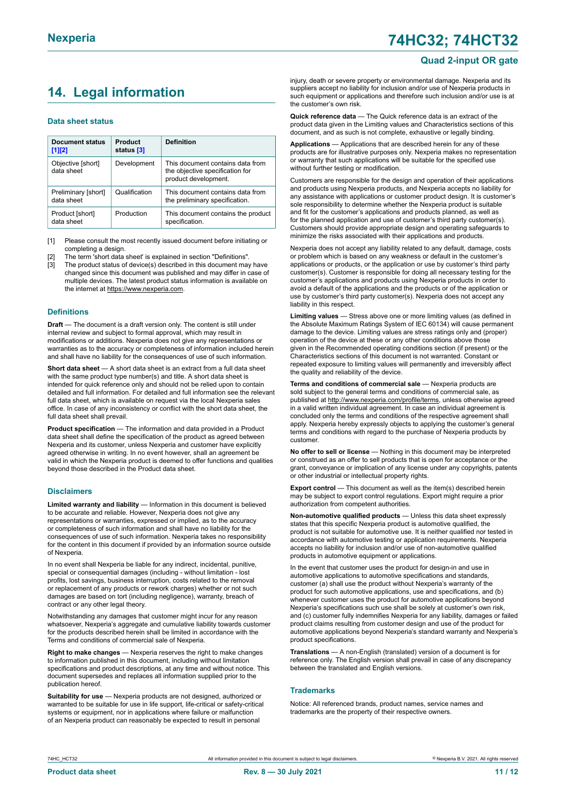# **Nexperia 74HC32; 74HCT32**

#### **Quad 2-input OR gate**

### <span id="page-10-0"></span>**14. Legal information**

#### **Data sheet status**

| Document status<br>$[1]$ [2]      | Product<br>status [3] | <b>Definition</b>                                                                           |
|-----------------------------------|-----------------------|---------------------------------------------------------------------------------------------|
| Objective [short]<br>data sheet   | Development           | This document contains data from<br>the objective specification for<br>product development. |
| Preliminary [short]<br>data sheet | Qualification         | This document contains data from<br>the preliminary specification.                          |
| Product [short]<br>data sheet     | Production            | This document contains the product<br>specification.                                        |

[1] Please consult the most recently issued document before initiating or completing a design.

The term 'short data sheet' is explained in section "Definitions".

[3] The product status of device(s) described in this document may have changed since this document was published and may differ in case of multiple devices. The latest product status information is available on the internet at [https://www.nexperia.com.](https://www.nexperia.com)

#### **Definitions**

**Draft** — The document is a draft version only. The content is still under internal review and subject to formal approval, which may result in modifications or additions. Nexperia does not give any representations or warranties as to the accuracy or completeness of information included herein and shall have no liability for the consequences of use of such information.

**Short data sheet** — A short data sheet is an extract from a full data sheet with the same product type number(s) and title. A short data sheet is intended for quick reference only and should not be relied upon to contain detailed and full information. For detailed and full information see the relevant full data sheet, which is available on request via the local Nexperia sales office. In case of any inconsistency or conflict with the short data sheet, the full data sheet shall prevail.

**Product specification** — The information and data provided in a Product data sheet shall define the specification of the product as agreed between Nexperia and its customer, unless Nexperia and customer have explicitly agreed otherwise in writing. In no event however, shall an agreement be valid in which the Nexperia product is deemed to offer functions and qualities beyond those described in the Product data sheet.

#### **Disclaimers**

**Limited warranty and liability** — Information in this document is believed to be accurate and reliable. However, Nexperia does not give any representations or warranties, expressed or implied, as to the accuracy or completeness of such information and shall have no liability for the consequences of use of such information. Nexperia takes no responsibility for the content in this document if provided by an information source outside of Nexperia.

In no event shall Nexperia be liable for any indirect, incidental, punitive, special or consequential damages (including - without limitation - lost profits, lost savings, business interruption, costs related to the removal or replacement of any products or rework charges) whether or not such damages are based on tort (including negligence), warranty, breach of contract or any other legal theory.

Notwithstanding any damages that customer might incur for any reason whatsoever, Nexperia's aggregate and cumulative liability towards customer for the products described herein shall be limited in accordance with the Terms and conditions of commercial sale of Nexperia.

**Right to make changes** — Nexperia reserves the right to make changes to information published in this document, including without limitation specifications and product descriptions, at any time and without notice. This document supersedes and replaces all information supplied prior to the publication hereof.

**Suitability for use** — Nexperia products are not designed, authorized or warranted to be suitable for use in life support, life-critical or safety-critical systems or equipment, nor in applications where failure or malfunction of an Nexperia product can reasonably be expected to result in personal

injury, death or severe property or environmental damage. Nexperia and its suppliers accept no liability for inclusion and/or use of Nexperia products in such equipment or applications and therefore such inclusion and/or use is at the customer's own risk.

**Quick reference data** — The Quick reference data is an extract of the product data given in the Limiting values and Characteristics sections of this document, and as such is not complete, exhaustive or legally binding.

**Applications** — Applications that are described herein for any of these products are for illustrative purposes only. Nexperia makes no representation or warranty that such applications will be suitable for the specified use without further testing or modification.

Customers are responsible for the design and operation of their applications and products using Nexperia products, and Nexperia accepts no liability for any assistance with applications or customer product design. It is customer's sole responsibility to determine whether the Nexperia product is suitable and fit for the customer's applications and products planned, as well as for the planned application and use of customer's third party customer(s). Customers should provide appropriate design and operating safeguards to minimize the risks associated with their applications and products.

Nexperia does not accept any liability related to any default, damage, costs or problem which is based on any weakness or default in the customer's applications or products, or the application or use by customer's third party customer(s). Customer is responsible for doing all necessary testing for the customer's applications and products using Nexperia products in order to avoid a default of the applications and the products or of the application or use by customer's third party customer(s). Nexperia does not accept any liability in this respect.

**Limiting values** — Stress above one or more limiting values (as defined in the Absolute Maximum Ratings System of IEC 60134) will cause permanent damage to the device. Limiting values are stress ratings only and (proper) operation of the device at these or any other conditions above those given in the Recommended operating conditions section (if present) or the Characteristics sections of this document is not warranted. Constant or repeated exposure to limiting values will permanently and irreversibly affect the quality and reliability of the device.

**Terms and conditions of commercial sale** — Nexperia products are sold subject to the general terms and conditions of commercial sale, as published at [http://www.nexperia.com/profile/terms,](http://www.nexperia.com/profile/terms) unless otherwise agreed in a valid written individual agreement. In case an individual agreement is concluded only the terms and conditions of the respective agreement shall apply. Nexperia hereby expressly objects to applying the customer's general terms and conditions with regard to the purchase of Nexperia products by customer.

**No offer to sell or license** — Nothing in this document may be interpreted or construed as an offer to sell products that is open for acceptance or the grant, conveyance or implication of any license under any copyrights, patents or other industrial or intellectual property rights.

**Export control** — This document as well as the item(s) described herein may be subject to export control regulations. Export might require a prior authorization from competent authorities.

**Non-automotive qualified products** — Unless this data sheet expressly states that this specific Nexperia product is automotive qualified, the product is not suitable for automotive use. It is neither qualified nor tested in accordance with automotive testing or application requirements. Nexperia accepts no liability for inclusion and/or use of non-automotive qualified products in automotive equipment or applications.

In the event that customer uses the product for design-in and use in automotive applications to automotive specifications and standards, customer (a) shall use the product without Nexperia's warranty of the product for such automotive applications, use and specifications, and (b) whenever customer uses the product for automotive applications beyond Nexperia's specifications such use shall be solely at customer's own risk, and (c) customer fully indemnifies Nexperia for any liability, damages or failed product claims resulting from customer design and use of the product for automotive applications beyond Nexperia's standard warranty and Nexperia's product specifications.

**Translations** — A non-English (translated) version of a document is for reference only. The English version shall prevail in case of any discrepancy between the translated and English versions.

#### **Trademarks**

Notice: All referenced brands, product names, service names and trademarks are the property of their respective owners.